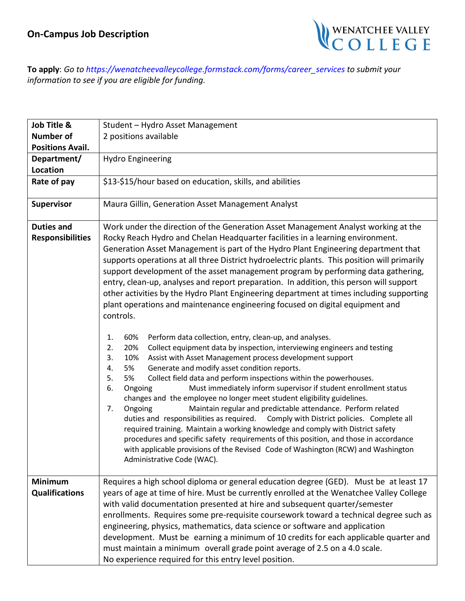

**To apply**: *Go to https://wenatcheevalleycollege.formstack.com/forms/career\_services to submit your information to see if you are eligible for funding.*

| Job Title &                                  | Student - Hydro Asset Management                                                                                                                                                                                                                                                                                                                                                                                                                                                                                                                                                                                                                                                                                                                                                                                                                                                                                                                                                                                                                                                                                                                                                                                                                                                                                                                                                                                                                                                                                                                                                                                                                                                                                                                                    |
|----------------------------------------------|---------------------------------------------------------------------------------------------------------------------------------------------------------------------------------------------------------------------------------------------------------------------------------------------------------------------------------------------------------------------------------------------------------------------------------------------------------------------------------------------------------------------------------------------------------------------------------------------------------------------------------------------------------------------------------------------------------------------------------------------------------------------------------------------------------------------------------------------------------------------------------------------------------------------------------------------------------------------------------------------------------------------------------------------------------------------------------------------------------------------------------------------------------------------------------------------------------------------------------------------------------------------------------------------------------------------------------------------------------------------------------------------------------------------------------------------------------------------------------------------------------------------------------------------------------------------------------------------------------------------------------------------------------------------------------------------------------------------------------------------------------------------|
| <b>Number of</b>                             | 2 positions available                                                                                                                                                                                                                                                                                                                                                                                                                                                                                                                                                                                                                                                                                                                                                                                                                                                                                                                                                                                                                                                                                                                                                                                                                                                                                                                                                                                                                                                                                                                                                                                                                                                                                                                                               |
| <b>Positions Avail.</b>                      |                                                                                                                                                                                                                                                                                                                                                                                                                                                                                                                                                                                                                                                                                                                                                                                                                                                                                                                                                                                                                                                                                                                                                                                                                                                                                                                                                                                                                                                                                                                                                                                                                                                                                                                                                                     |
| Department/                                  | <b>Hydro Engineering</b>                                                                                                                                                                                                                                                                                                                                                                                                                                                                                                                                                                                                                                                                                                                                                                                                                                                                                                                                                                                                                                                                                                                                                                                                                                                                                                                                                                                                                                                                                                                                                                                                                                                                                                                                            |
| Location                                     |                                                                                                                                                                                                                                                                                                                                                                                                                                                                                                                                                                                                                                                                                                                                                                                                                                                                                                                                                                                                                                                                                                                                                                                                                                                                                                                                                                                                                                                                                                                                                                                                                                                                                                                                                                     |
| Rate of pay                                  | \$13-\$15/hour based on education, skills, and abilities                                                                                                                                                                                                                                                                                                                                                                                                                                                                                                                                                                                                                                                                                                                                                                                                                                                                                                                                                                                                                                                                                                                                                                                                                                                                                                                                                                                                                                                                                                                                                                                                                                                                                                            |
| <b>Supervisor</b>                            | Maura Gillin, Generation Asset Management Analyst                                                                                                                                                                                                                                                                                                                                                                                                                                                                                                                                                                                                                                                                                                                                                                                                                                                                                                                                                                                                                                                                                                                                                                                                                                                                                                                                                                                                                                                                                                                                                                                                                                                                                                                   |
| <b>Duties and</b><br><b>Responsibilities</b> | Work under the direction of the Generation Asset Management Analyst working at the<br>Rocky Reach Hydro and Chelan Headquarter facilities in a learning environment.<br>Generation Asset Management is part of the Hydro Plant Engineering department that<br>supports operations at all three District hydroelectric plants. This position will primarily<br>support development of the asset management program by performing data gathering,<br>entry, clean-up, analyses and report preparation. In addition, this person will support<br>other activities by the Hydro Plant Engineering department at times including supporting<br>plant operations and maintenance engineering focused on digital equipment and<br>controls.<br>60%<br>Perform data collection, entry, clean-up, and analyses.<br>1.<br>2.<br>Collect equipment data by inspection, interviewing engineers and testing<br>20%<br>Assist with Asset Management process development support<br>3.<br>10%<br>Generate and modify asset condition reports.<br>5%<br>4.<br>Collect field data and perform inspections within the powerhouses.<br>5.<br>5%<br>Must immediately inform supervisor if student enrollment status<br>6.<br>Ongoing<br>changes and the employee no longer meet student eligibility guidelines.<br>Maintain regular and predictable attendance. Perform related<br>7.<br>Ongoing<br>duties and responsibilities as required. Comply with District policies. Complete all<br>required training. Maintain a working knowledge and comply with District safety<br>procedures and specific safety requirements of this position, and those in accordance<br>with applicable provisions of the Revised Code of Washington (RCW) and Washington<br>Administrative Code (WAC). |
| <b>Minimum</b><br><b>Qualifications</b>      | Requires a high school diploma or general education degree (GED). Must be at least 17<br>years of age at time of hire. Must be currently enrolled at the Wenatchee Valley College<br>with valid documentation presented at hire and subsequent quarter/semester<br>enrollments. Requires some pre-requisite coursework toward a technical degree such as<br>engineering, physics, mathematics, data science or software and application<br>development. Must be earning a minimum of 10 credits for each applicable quarter and<br>must maintain a minimum overall grade point average of 2.5 on a 4.0 scale.                                                                                                                                                                                                                                                                                                                                                                                                                                                                                                                                                                                                                                                                                                                                                                                                                                                                                                                                                                                                                                                                                                                                                       |
|                                              | No experience required for this entry level position.                                                                                                                                                                                                                                                                                                                                                                                                                                                                                                                                                                                                                                                                                                                                                                                                                                                                                                                                                                                                                                                                                                                                                                                                                                                                                                                                                                                                                                                                                                                                                                                                                                                                                                               |